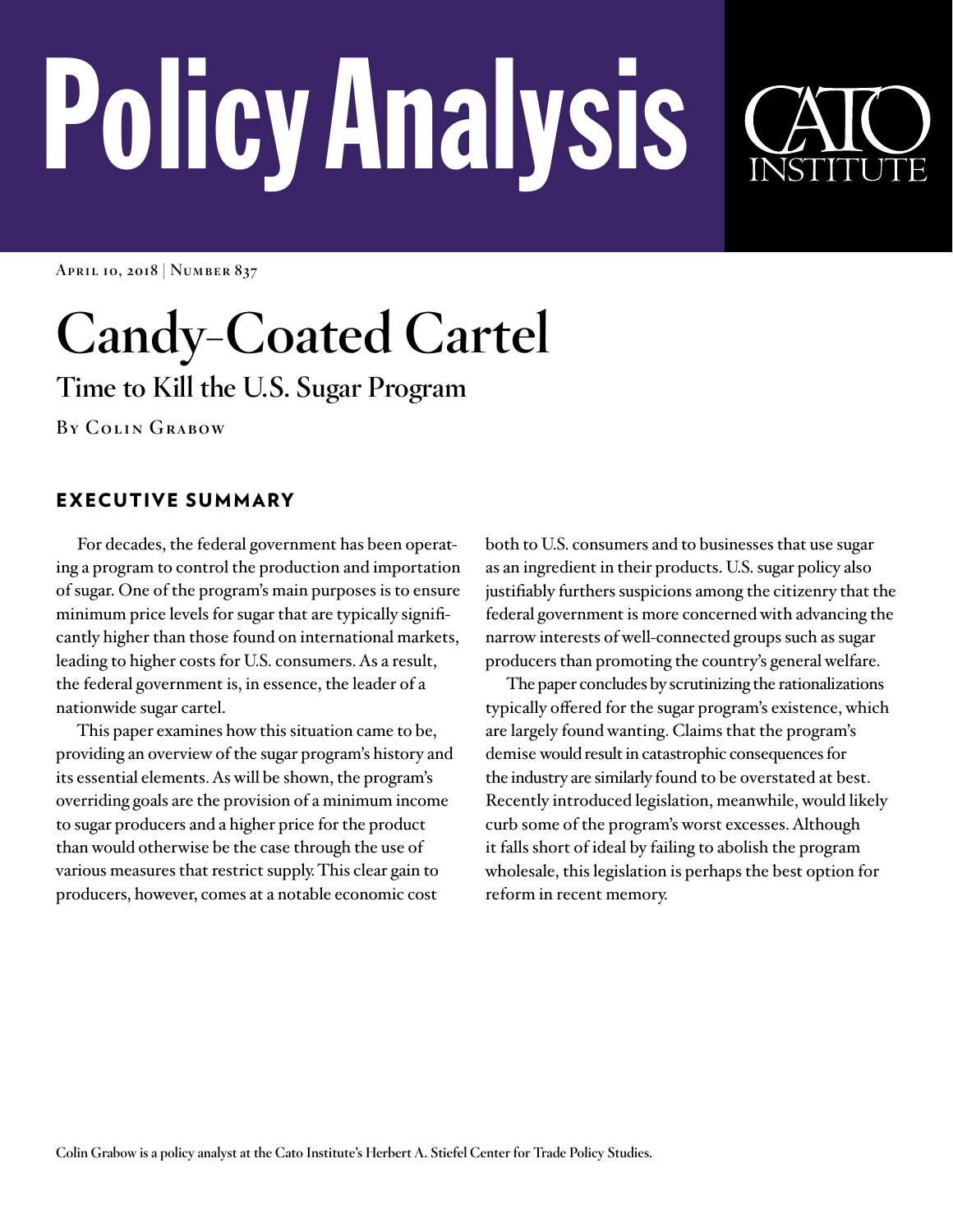# PolicyAnalysis

**April 10, 2018 | Number 837**

# **Candy-Coated Cartel**

**Time to Kill the U.S. Sugar Program**

**By Colin Grabow**

# EXECUTIVE SUMMARY

For decades, the federal government has been operating a program to control the production and importation of sugar. One of the program's main purposes is to ensure minimum price levels for sugar that are typically significantly higher than those found on international markets, leading to higher costs for U.S. consumers. As a result, the federal government is, in essence, the leader of a nationwide sugar cartel.

This paper examines how this situation came to be, providing an overview of the sugar program's history and its essential elements. As will be shown, the program's overriding goals are the provision of a minimum income to sugar producers and a higher price for the product than would otherwise be the case through the use of various measures that restrict supply. This clear gain to producers, however, comes at a notable economic cost

both to U.S. consumers and to businesses that use sugar as an ingredient in their products. U.S. sugar policy also justifiably furthers suspicions among the citizenry that the federal government is more concerned with advancing the narrow interests of well-connected groups such as sugar producers than promoting the country's general welfare.

The paper concludes by scrutinizing the rationalizations typically offered for the sugar program's existence, which are largely found wanting. Claims that the program's demise would result in catastrophic consequences for the industry are similarly found to be overstated at best. Recently introduced legislation, meanwhile, would likely curb some of the program's worst excesses. Although it falls short of ideal by failing to abolish the program wholesale, this legislation is perhaps the best option for reform in recent memory.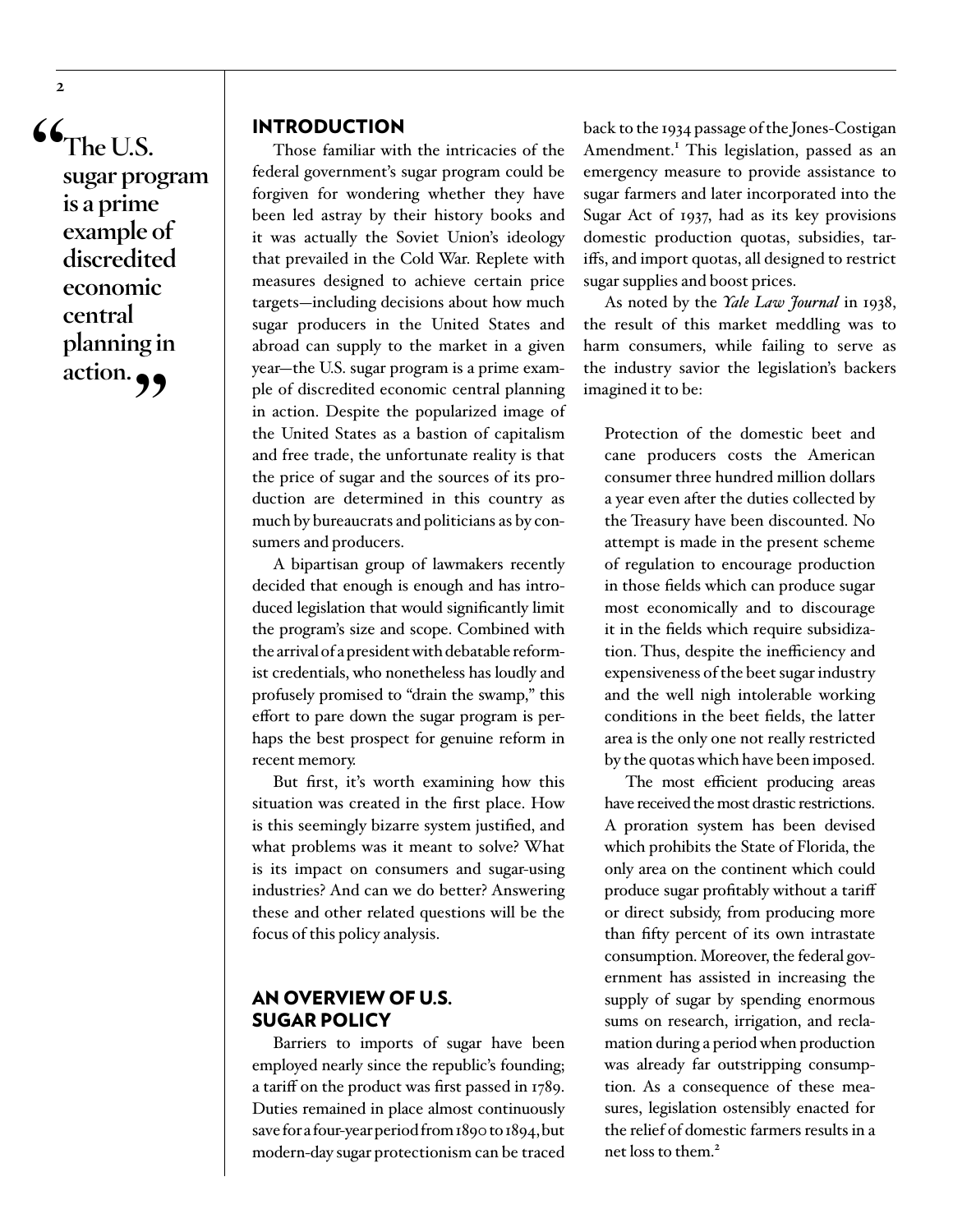**"The U.S. sugar program is a prime example of discredited economic central planning in**  action.

## INTRODUCTION

Those familiar with the intricacies of the federal government's sugar program could be forgiven for wondering whether they have been led astray by their history books and it was actually the Soviet Union's ideology that prevailed in the Cold War. Replete with measures designed to achieve certain price targets—including decisions about how much sugar producers in the United States and abroad can supply to the market in a given year—the U.S. sugar program is a prime example of discredited economic central planning in action. Despite the popularized image of the United States as a bastion of capitalism and free trade, the unfortunate reality is that the price of sugar and the sources of its production are determined in this country as much by bureaucrats and politicians as by consumers and producers.

A bipartisan group of lawmakers recently decided that enough is enough and has introduced legislation that would significantly limit the program's size and scope. Combined with the arrival of a president with debatable reformist credentials, who nonetheless has loudly and profusely promised to "drain the swamp," this effort to pare down the sugar program is perhaps the best prospect for genuine reform in recent memory.

But first, it's worth examining how this situation was created in the first place. How is this seemingly bizarre system justified, and what problems was it meant to solve? What is its impact on consumers and sugar-using industries? And can we do better? Answering these and other related questions will be the focus of this policy analysis.

## AN OVERVIEW OF U.S. SUGAR POLICY

Barriers to imports of sugar have been employed nearly since the republic's founding; a tariff on the product was first passed in 1789. Duties remained in place almost continuously save for a four-year period from 1890 to 1894, but modern-day sugar protectionism can be traced

back to the 1934 passage of the Jones-Costigan Amendment.<sup>I</sup> This legislation, passed as an emergency measure to provide assistance to sugar farmers and later incorporated into the Sugar Act of 1937, had as its key provisions domestic production quotas, subsidies, tariffs, and import quotas, all designed to restrict sugar supplies and boost prices.

As noted by the *Yale Law Journal* in 1938, the result of this market meddling was to harm consumers, while failing to serve as the industry savior the legislation's backers imagined it to be:

Protection of the domestic beet and cane producers costs the American consumer three hundred million dollars a year even after the duties collected by the Treasury have been discounted. No attempt is made in the present scheme of regulation to encourage production in those fields which can produce sugar most economically and to discourage it in the fields which require subsidization. Thus, despite the inefficiency and expensiveness of the beet sugar industry and the well nigh intolerable working conditions in the beet fields, the latter area is the only one not really restricted by the quotas which have been imposed.

The most efficient producing areas have received the most drastic restrictions. A proration system has been devised which prohibits the State of Florida, the only area on the continent which could produce sugar profitably without a tariff or direct subsidy, from producing more than fifty percent of its own intrastate consumption. Moreover, the federal government has assisted in increasing the supply of sugar by spending enormous sums on research, irrigation, and reclamation during a period when production was already far outstripping consumption. As a consequence of these measures, legislation ostensibly enacted for the relief of domestic farmers results in a net loss to them.<sup>2</sup>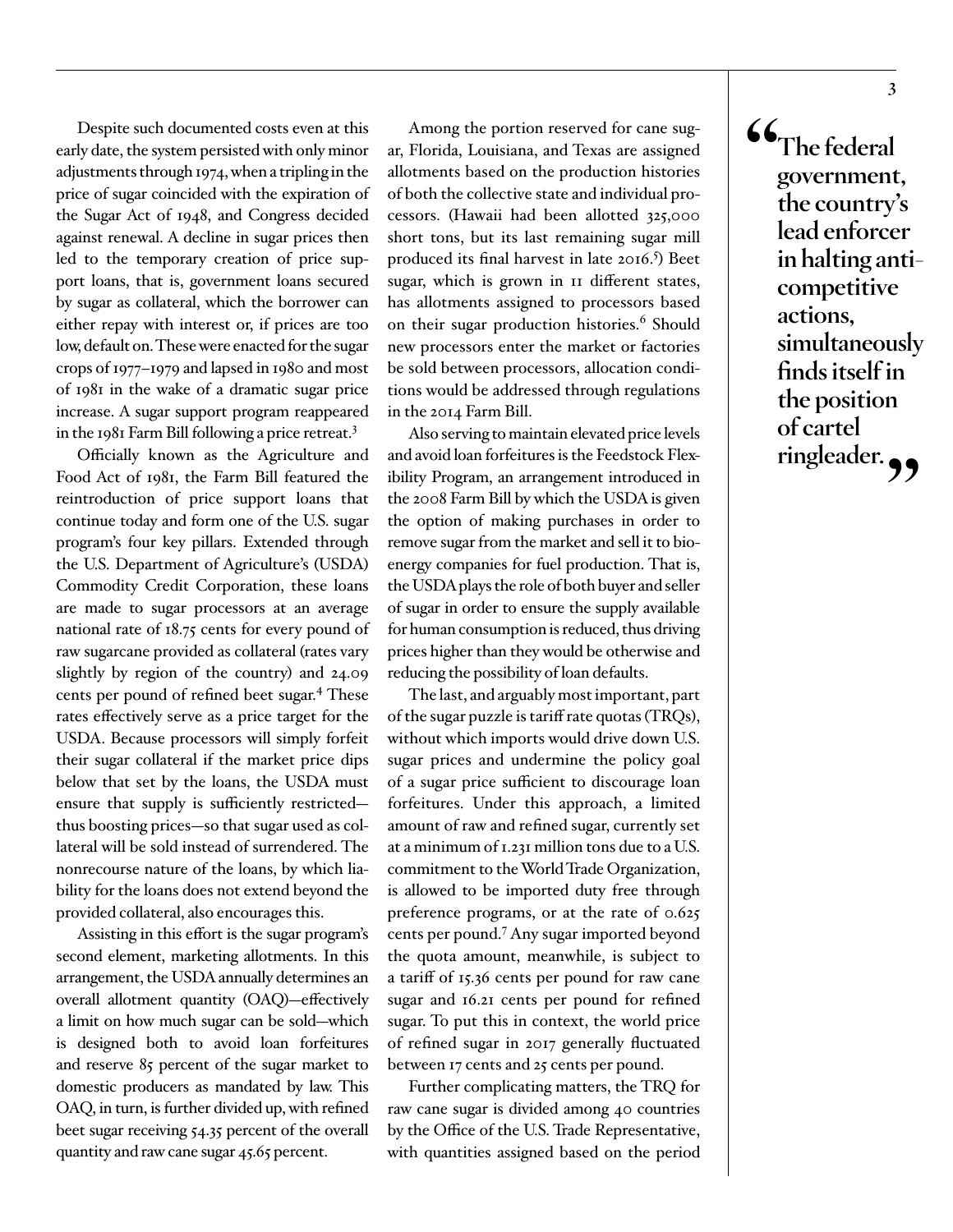Despite such documented costs even at this early date, the system persisted with only minor adjustments through 1974, when a tripling in the price of sugar coincided with the expiration of the Sugar Act of 1948, and Congress decided against renewal. A decline in sugar prices then led to the temporary creation of price support loans, that is, government loans secured by sugar as collateral, which the borrower can either repay with interest or, if prices are too low, default on. These were enacted for the sugar crops of 1977–1979 and lapsed in 1980 and most of 1981 in the wake of a dramatic sugar price increase. A sugar support program reappeared in the 1981 Farm Bill following a price retreat.<sup>3</sup>

Officially known as the Agriculture and Food Act of 1981, the Farm Bill featured the reintroduction of price support loans that continue today and form one of the U.S. sugar program's four key pillars. Extended through the U.S. Department of Agriculture's (USDA) Commodity Credit Corporation, these loans are made to sugar processors at an average national rate of 18.75 cents for every pound of raw sugarcane provided as collateral (rates vary slightly by region of the country) and 24.09 cents per pound of refined beet sugar.<sup>4</sup> These rates effectively serve as a price target for the USDA. Because processors will simply forfeit their sugar collateral if the market price dips below that set by the loans, the USDA must ensure that supply is sufficiently restricted thus boosting prices—so that sugar used as collateral will be sold instead of surrendered. The nonrecourse nature of the loans, by which liability for the loans does not extend beyond the provided collateral, also encourages this.

Assisting in this effort is the sugar program's second element, marketing allotments. In this arrangement, the USDA annually determines an overall allotment quantity (OAQ)—effectively a limit on how much sugar can be sold—which is designed both to avoid loan forfeitures and reserve 85 percent of the sugar market to domestic producers as mandated by law. This OAQ, in turn, is further divided up, with refined beet sugar receiving 54.35 percent of the overall quantity and raw cane sugar 45.65 percent.

Among the portion reserved for cane sugar, Florida, Louisiana, and Texas are assigned allotments based on the production histories of both the collective state and individual processors. (Hawaii had been allotted 325,000 short tons, but its last remaining sugar mill produced its final harvest in late 2016.<sup>5</sup>) Beet sugar, which is grown in 11 different states, has allotments assigned to processors based on their sugar production histories.<sup>6</sup> Should new processors enter the market or factories be sold between processors, allocation conditions would be addressed through regulations in the 2014 Farm Bill.

Also serving to maintain elevated price levels and avoid loan forfeitures is the Feedstock Flexibility Program, an arrangement introduced in the 2008 Farm Bill by which the USDA is given the option of making purchases in order to remove sugar from the market and sell it to bioenergy companies for fuel production. That is, the USDA plays the role of both buyer and seller of sugar in order to ensure the supply available for human consumption is reduced, thus driving prices higher than they would be otherwise and reducing the possibility of loan defaults.

The last, and arguably most important, part of the sugar puzzle is tariff rate quotas (TRQs), without which imports would drive down U.S. sugar prices and undermine the policy goal of a sugar price sufficient to discourage loan forfeitures. Under this approach, a limited amount of raw and refined sugar, currently set at a minimum of 1.231 million tons due to a U.S. commitment to the World Trade Organization, is allowed to be imported duty free through preference programs, or at the rate of 0.625 cents per pound.[7](#page-9-6) Any sugar imported beyond the quota amount, meanwhile, is subject to a tariff of 15.36 cents per pound for raw cane sugar and 16.21 cents per pound for refined sugar. To put this in context, the world price of refined sugar in 2017 generally fluctuated between 17 cents and 25 cents per pound.

Further complicating matters, the TRQ for raw cane sugar is divided among 40 countries by the Office of the U.S. Trade Representative, with quantities assigned based on the period

**"The federal government, the country's lead enforcer in halting anticompetitive actions, simultaneously finds itself in the position of cartel ringleader."**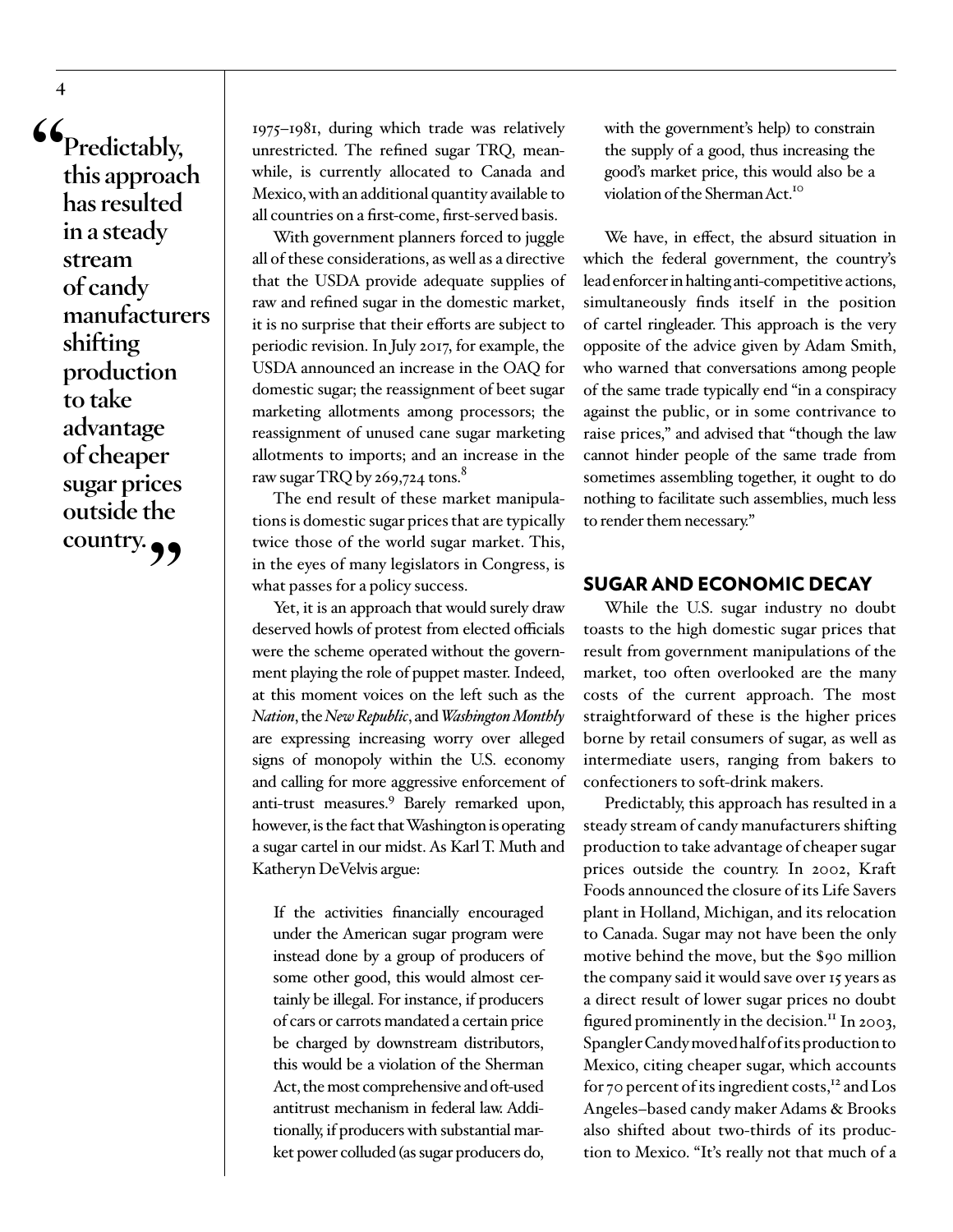**"Predictably, this approach has resulted in a steady stream of candy manufacturers shifting production to take advantage of cheaper sugar prices outside the country."**

1975–1981, during which trade was relatively unrestricted. The refined sugar TRQ, meanwhile, is currently allocated to Canada and Mexico, with an additional quantity available to all countries on a first-come, first-served basis.

With government planners forced to juggle all of these considerations, as well as a directive that the USDA provide adequate supplies of raw and refined sugar in the domestic market, it is no surprise that their efforts are subject to periodic revision. In July 2017, for example, the USDA announced an increase in the OAQ for domestic sugar; the reassignment of beet sugar marketing allotments among processors; the reassignment of unused cane sugar marketing allotments to imports; and an increase in the raw sugar TRQ by  $269,724$  tons.<sup>8</sup>

The end result of these market manipulations is domestic sugar prices that are typically twice those of the world sugar market. This, in the eyes of many legislators in Congress, is what passes for a policy success.

Yet, it is an approach that would surely draw deserved howls of protest from elected officials were the scheme operated without the government playing the role of puppet master. Indeed, at this moment voices on the left such as the *Nation*, the *New Republic*, and *Washington Monthly* are expressing increasing worry over alleged signs of monopoly within the U.S. economy and calling for more aggressive enforcement of anti-trust measures.<sup>[9](#page-10-0)</sup> Barely remarked upon, however, is the fact that Washington is operating a sugar cartel in our midst. As Karl T. Muth and Katheryn DeVelvis argue:

If the activities financially encouraged under the American sugar program were instead done by a group of producers of some other good, this would almost certainly be illegal. For instance, if producers of cars or carrots mandated a certain price be charged by downstream distributors, this would be a violation of the Sherman Act, the most comprehensive and oft-used antitrust mechanism in federal law. Additionally, if producers with substantial market power colluded (as sugar producers do,

with the government's help) to constrain the supply of a good, thus increasing the good's market price, this would also be a violation of the Sherman Act.<sup>10</sup>

We have, in effect, the absurd situation in which the federal government, the country's lead enforcer in halting anti-competitive actions, simultaneously finds itself in the position of cartel ringleader. This approach is the very opposite of the advice given by Adam Smith, who warned that conversations among people of the same trade typically end "in a conspiracy against the public, or in some contrivance to raise prices," and advised that "though the law cannot hinder people of the same trade from sometimes assembling together, it ought to do nothing to facilitate such assemblies, much less to render them necessary."

#### SUGAR AND ECONOMIC DECAY

While the U.S. sugar industry no doubt toasts to the high domestic sugar prices that result from government manipulations of the market, too often overlooked are the many costs of the current approach. The most straightforward of these is the higher prices borne by retail consumers of sugar, as well as intermediate users, ranging from bakers to confectioners to soft-drink makers.

Predictably, this approach has resulted in a steady stream of candy manufacturers shifting production to take advantage of cheaper sugar prices outside the country. In 2002, Kraft Foods announced the closure of its Life Savers plant in Holland, Michigan, and its relocation to Canada. Sugar may not have been the only motive behind the move, but the \$90 million the company said it would save over 15 years as a direct result of lower sugar prices no doubt figured prominently in the decision.<sup>11</sup> In 2003, Spangler Candy moved half of its production to Mexico, citing cheaper sugar, which accounts for 70 percent of its ingredient costs,<sup>[12](#page-10-3)</sup> and Los Angeles–based candy maker Adams & Brooks also shifted about two-thirds of its production to Mexico. "It's really not that much of a

**4**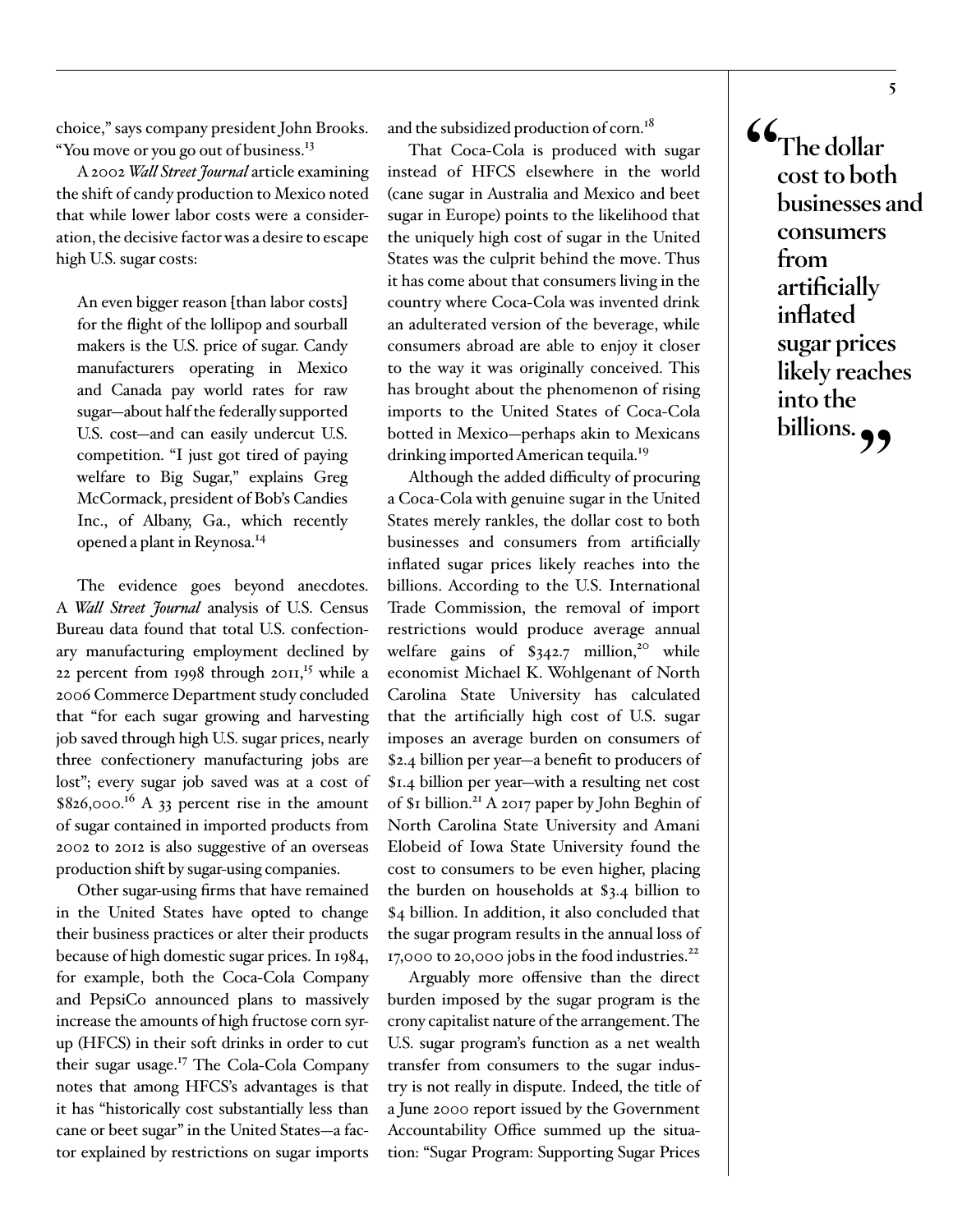choice," says company president John Brooks. "You move or you go out of business.<sup>[13](#page-10-4)</sup>

A 2002 *Wall Street Journal* article examining the shift of candy production to Mexico noted that while lower labor costs were a consideration, the decisive factor was a desire to escape high U.S. sugar costs:

An even bigger reason [than labor costs] for the flight of the lollipop and sourball makers is the U.S. price of sugar. Candy manufacturers operating in Mexico and Canada pay world rates for raw sugar—about half the federally supported U.S. cost—and can easily undercut U.S. competition. "I just got tired of paying welfare to Big Sugar," explains Greg McCormack, president of Bob's Candies Inc., of Albany, Ga., which recently opened a plant in Reynosa.[14](#page-10-5)

The evidence goes beyond anecdotes. A *Wall Street Journal* analysis of U.S. Census Bureau data found that total U.S. confectionary manufacturing employment declined by 22 percent from 1998 through 2011,<sup>15</sup> while a 2006 Commerce Department study concluded that "for each sugar growing and harvesting job saved through high U.S. sugar prices, nearly three confectionery manufacturing jobs are lost"; every sugar job saved was at a cost of  $$826,000.<sup>16</sup>$  A 33 percent rise in the amount of sugar contained in imported products from 2002 to 2012 is also suggestive of an overseas production shift by sugar-using companies.

Other sugar-using firms that have remained in the United States have opted to change their business practices or alter their products because of high domestic sugar prices. In 1984, for example, both the Coca-Cola Company and PepsiCo announced plans to massively increase the amounts of high fructose corn syrup (HFCS) in their soft drinks in order to cut their sugar usage[.17](#page-10-8) The Cola-Cola Company notes that among HFCS's advantages is that it has "historically cost substantially less than cane or beet sugar" in the United States—a factor explained by restrictions on sugar imports

and the subsidized production of corn.<sup>[18](#page-10-9)</sup>

That Coca-Cola is produced with sugar instead of HFCS elsewhere in the world (cane sugar in Australia and Mexico and beet sugar in Europe) points to the likelihood that the uniquely high cost of sugar in the United States was the culprit behind the move. Thus it has come about that consumers living in the country where Coca-Cola was invented drink an adulterated version of the beverage, while consumers abroad are able to enjoy it closer to the way it was originally conceived. This has brought about the phenomenon of rising imports to the United States of Coca-Cola botted in Mexico—perhaps akin to Mexicans drinking imported American tequila.<sup>[19](#page-10-10)</sup>

Although the added difficulty of procuring a Coca-Cola with genuine sugar in the United States merely rankles, the dollar cost to both businesses and consumers from artificially inflated sugar prices likely reaches into the billions. According to the U.S. International Trade Commission, the removal of import restrictions would produce average annual welfare gains of  $$342.7$  million,<sup>20</sup> while economist Michael K. Wohlgenant of North Carolina State University has calculated that the artificially high cost of U.S. sugar imposes an average burden on consumers of \$2.4 billion per year—a benefit to producers of \$1.4 billion per year—with a resulting net cost of \$1 billion.<sup>21</sup> A 2017 paper by John Beghin of North Carolina State University and Amani Elobeid of Iowa State University found the cost to consumers to be even higher, placing the burden on households at \$3.4 billion to \$4 billion. In addition, it also concluded that the sugar program results in the annual loss of 17,000 to 20,000 jobs in the food industries. $^{22}$  $^{22}$  $^{22}$ 

Arguably more offensive than the direct burden imposed by the sugar program is the crony capitalist nature of the arrangement. The U.S. sugar program's function as a net wealth transfer from consumers to the sugar industry is not really in dispute. Indeed, the title of a June 2000 report issued by the Government Accountability Office summed up the situation: "Sugar Program: Supporting Sugar Prices

**"The dollar cost to both businesses and consumers from artificially inflated sugar prices likely reaches into the billions."**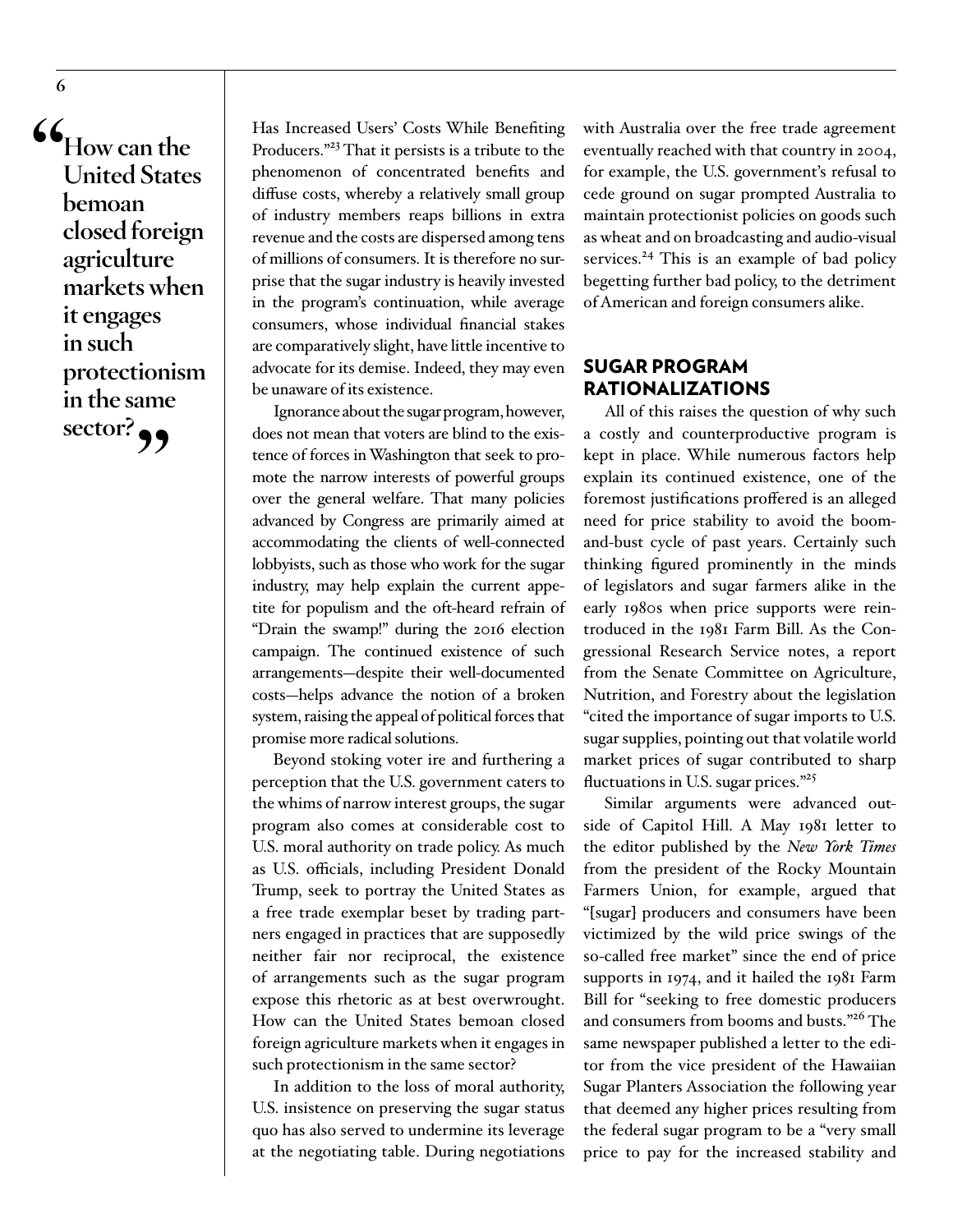**"How can the United States bemoan closed foreign agriculture markets when it engages in such protectionism in the same sector?"**

Has Increased Users' Costs While Benefiting Producers.["23](#page-10-14) That it persists is a tribute to the phenomenon of concentrated benefits and diffuse costs, whereby a relatively small group of industry members reaps billions in extra revenue and the costs are dispersed among tens of millions of consumers. It is therefore no surprise that the sugar industry is heavily invested in the program's continuation, while average consumers, whose individual financial stakes are comparatively slight, have little incentive to advocate for its demise. Indeed, they may even be unaware of its existence.

Ignorance about the sugar program, however, does not mean that voters are blind to the existence of forces in Washington that seek to promote the narrow interests of powerful groups over the general welfare. That many policies advanced by Congress are primarily aimed at accommodating the clients of well-connected lobbyists, such as those who work for the sugar industry, may help explain the current appetite for populism and the oft-heard refrain of "Drain the swamp!" during the 2016 election campaign. The continued existence of such arrangements—despite their well-documented costs—helps advance the notion of a broken system, raising the appeal of political forces that promise more radical solutions.

Beyond stoking voter ire and furthering a perception that the U.S. government caters to the whims of narrow interest groups, the sugar program also comes at considerable cost to U.S. moral authority on trade policy. As much as U.S. officials, including President Donald Trump, seek to portray the United States as a free trade exemplar beset by trading partners engaged in practices that are supposedly neither fair nor reciprocal, the existence of arrangements such as the sugar program expose this rhetoric as at best overwrought. How can the United States bemoan closed foreign agriculture markets when it engages in such protectionism in the same sector?

In addition to the loss of moral authority, U.S. insistence on preserving the sugar status quo has also served to undermine its leverage at the negotiating table. During negotiations

with Australia over the free trade agreement eventually reached with that country in 2004, for example, the U.S. government's refusal to cede ground on sugar prompted Australia to maintain protectionist policies on goods such as wheat and on broadcasting and audio-visual services.<sup>[24](#page-10-15)</sup> This is an example of bad policy begetting further bad policy, to the detriment of American and foreign consumers alike.

# SUGAR PROGRAM RATIONALIZATIONS

All of this raises the question of why such a costly and counterproductive program is kept in place. While numerous factors help explain its continued existence, one of the foremost justifications proffered is an alleged need for price stability to avoid the boomand-bust cycle of past years. Certainly such thinking figured prominently in the minds of legislators and sugar farmers alike in the early 1980s when price supports were reintroduced in the 1981 Farm Bill. As the Congressional Research Service notes, a report from the Senate Committee on Agriculture, Nutrition, and Forestry about the legislation "cited the importance of sugar imports to U.S. sugar supplies, pointing out that volatile world market prices of sugar contributed to sharp fluctuations in U.S. sugar prices."<sup>[25](#page-10-16)</sup>

Similar arguments were advanced outside of Capitol Hill. A May 1981 letter to the editor published by the *New York Times*  from the president of the Rocky Mountain Farmers Union, for example, argued that "[sugar] producers and consumers have been victimized by the wild price swings of the so-called free market" since the end of price supports in 1974, and it hailed the 1981 Farm Bill for "seeking to free domestic producers and consumers from booms and busts."[26](#page-10-17) The same newspaper published a letter to the editor from the vice president of the Hawaiian Sugar Planters Association the following year that deemed any higher prices resulting from the federal sugar program to be a "very small price to pay for the increased stability and

**6**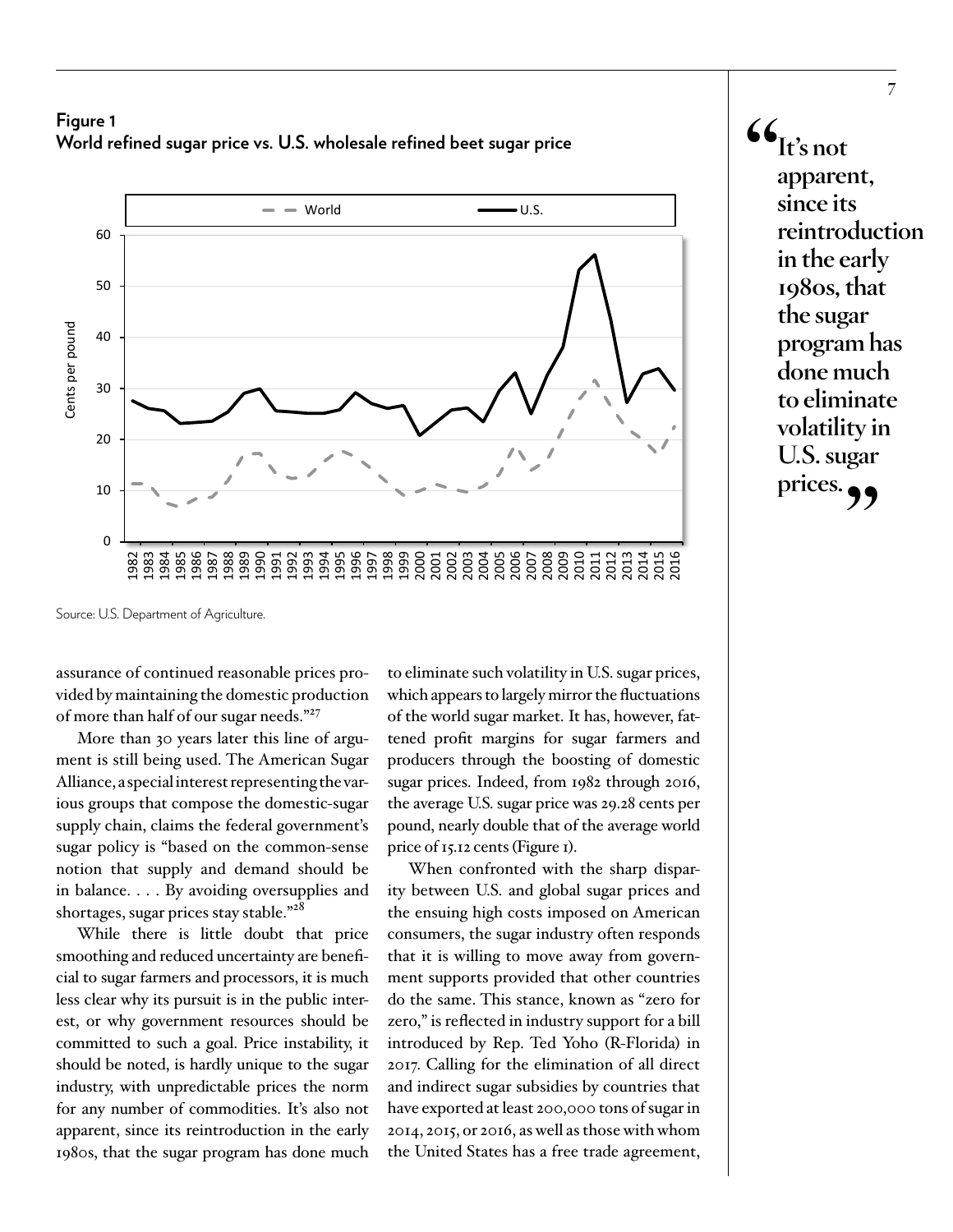#### **Figure 1 World refined sugar price vs. U.S. wholesale refined beet sugar price**



 $\mathbf{G}_{\text{It's not}}$ **apparent, since its reintroduction in the early 1980s, that the sugar program has done much to eliminate volatility in U.S. sugar**  prices.

assurance of continued reasonable prices provided by maintaining the domestic production of more than half of our sugar needs.["27](#page-10-18)

More than 30 years later this line of argument is still being used. The American Sugar Alliance, a special interest representing the various groups that compose the domestic-sugar supply chain, claims the federal government's sugar policy is "based on the common-sense notion that supply and demand should be in balance. . . . By avoiding oversupplies and shortages, sugar prices stay stable."<sup>[28](#page-10-19)</sup>

While there is little doubt that price smoothing and reduced uncertainty are beneficial to sugar farmers and processors, it is much less clear why its pursuit is in the public interest, or why government resources should be committed to such a goal. Price instability, it should be noted, is hardly unique to the sugar industry, with unpredictable prices the norm for any number of commodities. It's also not apparent, since its reintroduction in the early 1980s, that the sugar program has done much

to eliminate such volatility in U.S. sugar prices, which appears to largely mirror the fluctuations of the world sugar market. It has, however, fattened profit margins for sugar farmers and producers through the boosting of domestic sugar prices. Indeed, from 1982 through 2016, the average U.S. sugar price was 29.28 cents per pound, nearly double that of the average world price of 15.12 cents (Figure 1).

When confronted with the sharp disparity between U.S. and global sugar prices and the ensuing high costs imposed on American consumers, the sugar industry often responds that it is willing to move away from government supports provided that other countries do the same. This stance, known as "zero for zero," is reflected in industry support for a bill introduced by Rep. Ted Yoho (R-Florida) in 2017. Calling for the elimination of all direct and indirect sugar subsidies by countries that have exported at least 200,000 tons of sugar in 2014, 2015, or 2016, as well as those with whom the United States has a free trade agreement,

Source: U.S. Department of Agriculture.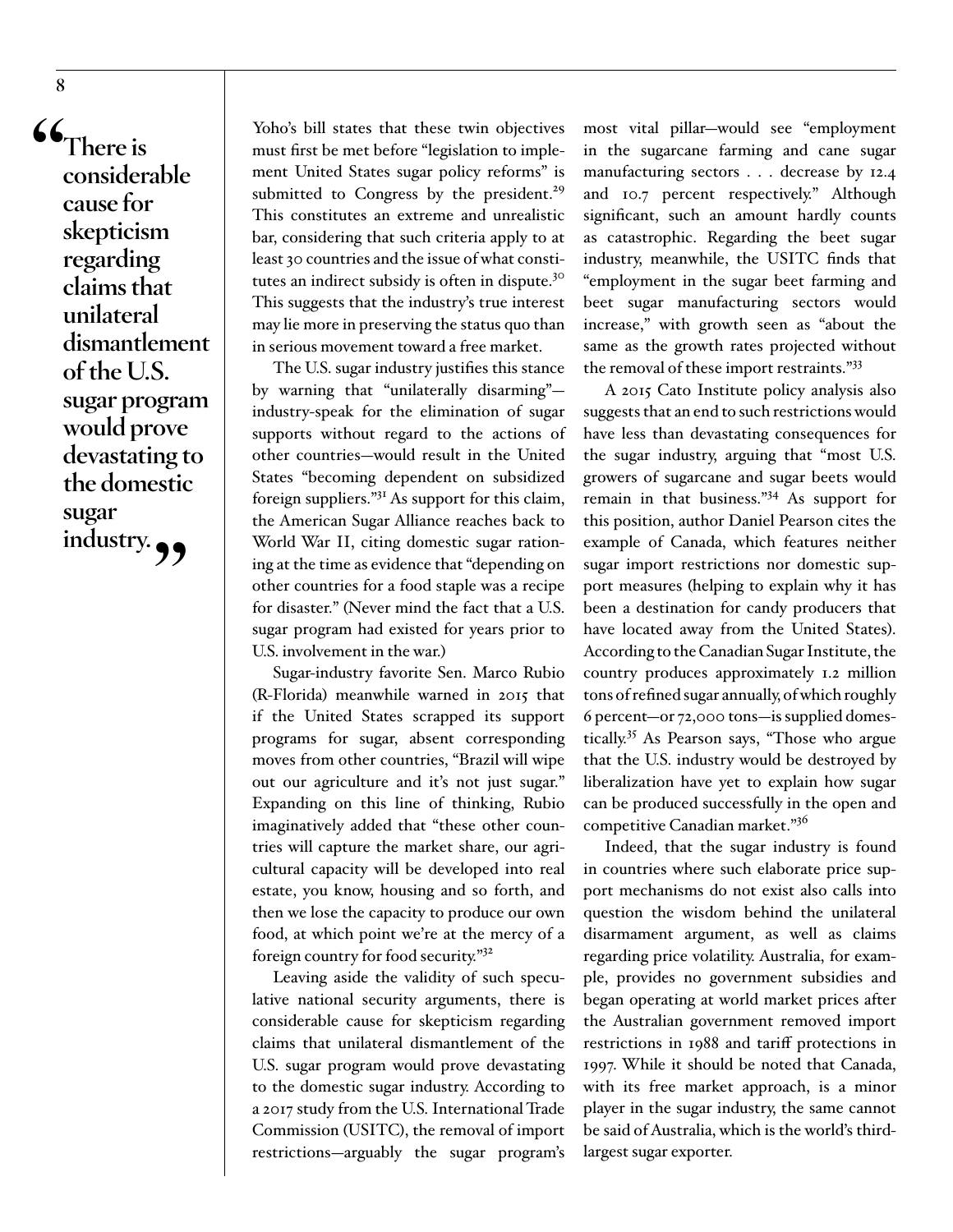**"There is considerable cause for skepticism regarding claims that unilateral dismantlement of the U.S. sugar program would prove devastating to the domestic sugar**  industry.

Yoho's bill states that these twin objectives must first be met before "legislation to implement United States sugar policy reforms" is submitted to Congress by the president.<sup>[29](#page-10-20)</sup> This constitutes an extreme and unrealistic bar, considering that such criteria apply to at least 30 countries and the issue of what constitutes an indirect subsidy is often in dispute[.30](#page-10-21) This suggests that the industry's true interest may lie more in preserving the status quo than in serious movement toward a free market.

The U.S. sugar industry justifies this stance by warning that "unilaterally disarming" industry-speak for the elimination of sugar supports without regard to the actions of other countries—would result in the United States "becoming dependent on subsidized foreign suppliers."[31](#page-10-22) As support for this claim, the American Sugar Alliance reaches back to World War II, citing domestic sugar rationing at the time as evidence that "depending on other countries for a food staple was a recipe for disaster." (Never mind the fact that a U.S. sugar program had existed for years prior to U.S. involvement in the war.)

Sugar-industry favorite Sen. Marco Rubio (R-Florida) meanwhile warned in 2015 that if the United States scrapped its support programs for sugar, absent corresponding moves from other countries, "Brazil will wipe out our agriculture and it's not just sugar." Expanding on this line of thinking, Rubio imaginatively added that "these other countries will capture the market share, our agricultural capacity will be developed into real estate, you know, housing and so forth, and then we lose the capacity to produce our own food, at which point we're at the mercy of a foreign country for food security."[32](#page-11-0)

Leaving aside the validity of such speculative national security arguments, there is considerable cause for skepticism regarding claims that unilateral dismantlement of the U.S. sugar program would prove devastating to the domestic sugar industry. According to a 2017 study from the U.S. International Trade Commission (USITC), the removal of import restrictions—arguably the sugar program's

most vital pillar—would see "employment in the sugarcane farming and cane sugar manufacturing sectors . . . decrease by 12.4 and 10.7 percent respectively." Although significant, such an amount hardly counts as catastrophic. Regarding the beet sugar industry, meanwhile, the USITC finds that "employment in the sugar beet farming and beet sugar manufacturing sectors would increase," with growth seen as "about the same as the growth rates projected without the removal of these import restraints."[33](#page-11-1)

A 2015 Cato Institute policy analysis also suggests that an end to such restrictions would have less than devastating consequences for the sugar industry, arguing that "most U.S. growers of sugarcane and sugar beets would remain in that business."[34](#page-11-2) As support for this position, author Daniel Pearson cites the example of Canada, which features neither sugar import restrictions nor domestic support measures (helping to explain why it has been a destination for candy producers that have located away from the United States). According to the Canadian Sugar Institute, the country produces approximately 1.2 million tons of refined sugar annually, of which roughly 6 percent—or 72,000 tons—is supplied domestically.[35](#page-11-3) As Pearson says, "Those who argue that the U.S. industry would be destroyed by liberalization have yet to explain how sugar can be produced successfully in the open and competitive Canadian market."[36](#page-11-4)

Indeed, that the sugar industry is found in countries where such elaborate price support mechanisms do not exist also calls into question the wisdom behind the unilateral disarmament argument, as well as claims regarding price volatility. Australia, for example, provides no government subsidies and began operating at world market prices after the Australian government removed import restrictions in 1988 and tariff protections in 1997. While it should be noted that Canada, with its free market approach, is a minor player in the sugar industry, the same cannot be said of Australia, which is the world's thirdlargest sugar exporter.

**8**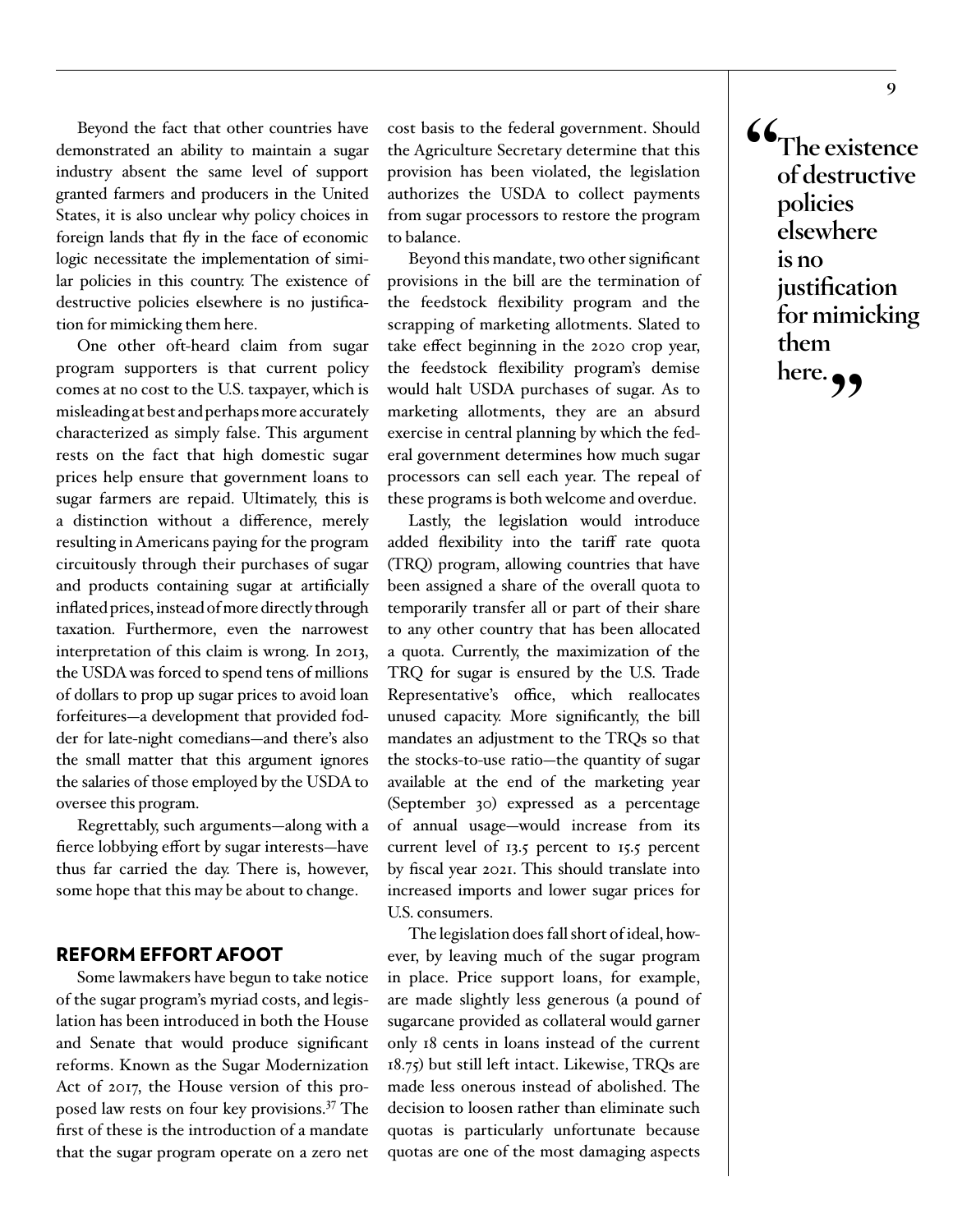Beyond the fact that other countries have demonstrated an ability to maintain a sugar industry absent the same level of support granted farmers and producers in the United States, it is also unclear why policy choices in foreign lands that fly in the face of economic logic necessitate the implementation of similar policies in this country. The existence of destructive policies elsewhere is no justification for mimicking them here.

One other oft-heard claim from sugar program supporters is that current policy comes at no cost to the U.S. taxpayer, which is misleading at best and perhaps more accurately characterized as simply false. This argument rests on the fact that high domestic sugar prices help ensure that government loans to sugar farmers are repaid. Ultimately, this is a distinction without a difference, merely resulting in Americans paying for the program circuitously through their purchases of sugar and products containing sugar at artificially inflated prices, instead of more directly through taxation. Furthermore, even the narrowest interpretation of this claim is wrong. In 2013, the USDA was forced to spend tens of millions of dollars to prop up sugar prices to avoid loan forfeitures—a development that provided fodder for late-night comedians—and there's also the small matter that this argument ignores the salaries of those employed by the USDA to oversee this program.

Regrettably, such arguments—along with a fierce lobbying effort by sugar interests—have thus far carried the day. There is, however, some hope that this may be about to change.

#### REFORM EFFORT AFOOT

Some lawmakers have begun to take notice of the sugar program's myriad costs, and legislation has been introduced in both the House and Senate that would produce significant reforms. Known as the Sugar Modernization Act of 2017, the House version of this proposed law rests on four key provisions.[37](#page-11-5) The first of these is the introduction of a mandate that the sugar program operate on a zero net

cost basis to the federal government. Should the Agriculture Secretary determine that this provision has been violated, the legislation authorizes the USDA to collect payments from sugar processors to restore the program to balance.

Beyond this mandate, two other significant provisions in the bill are the termination of the feedstock flexibility program and the scrapping of marketing allotments. Slated to take effect beginning in the 2020 crop year, the feedstock flexibility program's demise would halt USDA purchases of sugar. As to marketing allotments, they are an absurd exercise in central planning by which the federal government determines how much sugar processors can sell each year. The repeal of these programs is both welcome and overdue.

Lastly, the legislation would introduce added flexibility into the tariff rate quota (TRQ) program, allowing countries that have been assigned a share of the overall quota to temporarily transfer all or part of their share to any other country that has been allocated a quota. Currently, the maximization of the TRQ for sugar is ensured by the U.S. Trade Representative's office, which reallocates unused capacity. More significantly, the bill mandates an adjustment to the TRQs so that the stocks-to-use ratio—the quantity of sugar available at the end of the marketing year (September 30) expressed as a percentage of annual usage—would increase from its current level of 13.5 percent to 15.5 percent by fiscal year 2021. This should translate into increased imports and lower sugar prices for U.S. consumers.

The legislation does fall short of ideal, however, by leaving much of the sugar program in place. Price support loans, for example, are made slightly less generous (a pound of sugarcane provided as collateral would garner only 18 cents in loans instead of the current 18.75) but still left intact. Likewise, TRQs are made less onerous instead of abolished. The decision to loosen rather than eliminate such quotas is particularly unfortunate because quotas are one of the most damaging aspects

**"The existence of destructive policies elsewhere is no justification for mimicking them**  here.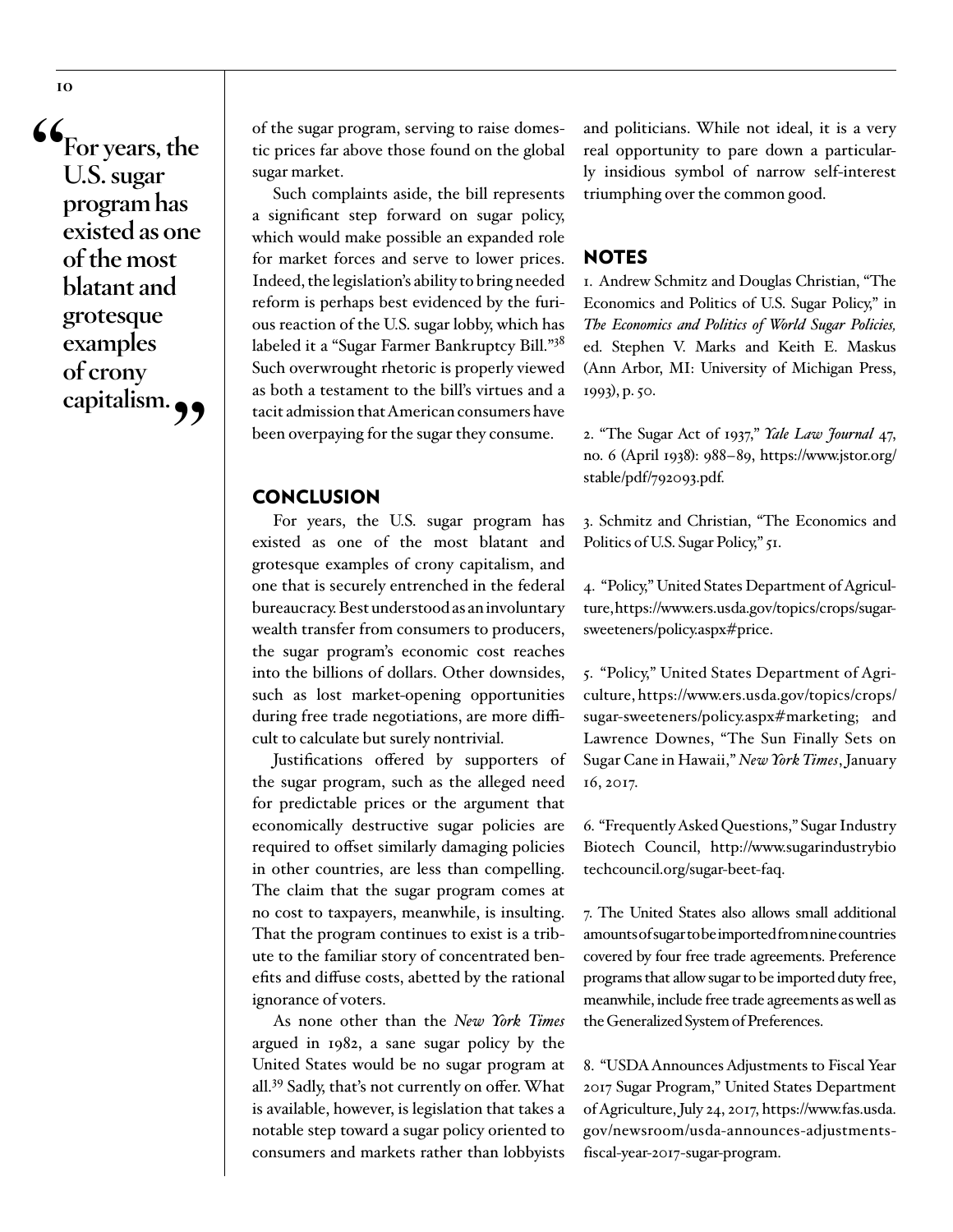**"For years, the U.S. sugar program has existed as one of the most blatant and grotesque examples of crony capitalism."**

of the sugar program, serving to raise domestic prices far above those found on the global sugar market.

Such complaints aside, the bill represents a significant step forward on sugar policy, which would make possible an expanded role for market forces and serve to lower prices. Indeed, the legislation's ability to bring needed reform is perhaps best evidenced by the furious reaction of the U.S. sugar lobby, which has labeled it a "Sugar Farmer Bankruptcy Bill.["38](#page-11-6) Such overwrought rhetoric is properly viewed as both a testament to the bill's virtues and a tacit admission that American consumers have been overpaying for the sugar they consume.

#### **CONCLUSION**

For years, the U.S. sugar program has existed as one of the most blatant and grotesque examples of crony capitalism, and one that is securely entrenched in the federal bureaucracy. Best understood as an involuntary wealth transfer from consumers to producers, the sugar program's economic cost reaches into the billions of dollars. Other downsides, such as lost market-opening opportunities during free trade negotiations, are more difficult to calculate but surely nontrivial.

Justifications offered by supporters of the sugar program, such as the alleged need for predictable prices or the argument that economically destructive sugar policies are required to offset similarly damaging policies in other countries, are less than compelling. The claim that the sugar program comes at no cost to taxpayers, meanwhile, is insulting. That the program continues to exist is a tribute to the familiar story of concentrated benefits and diffuse costs, abetted by the rational ignorance of voters.

As none other than the *New York Times* argued in 1982, a sane sugar policy by the United States would be no sugar program at all.[39](#page-11-7) Sadly, that's not currently on offer. What is available, however, is legislation that takes a notable step toward a sugar policy oriented to consumers and markets rather than lobbyists

and politicians. While not ideal, it is a very real opportunity to pare down a particularly insidious symbol of narrow self-interest triumphing over the common good.

#### NOTES

<span id="page-9-0"></span>1. Andrew Schmitz and Douglas Christian, "The Economics and Politics of U.S. Sugar Policy," in *The Economics and Politics of World Sugar Policies,* ed. Stephen V. Marks and Keith E. Maskus (Ann Arbor, MI: University of Michigan Press, 1993), p. 50.

<span id="page-9-1"></span>2. "The Sugar Act of 1937," *Yale Law Journal* 47, no. 6 (April 1938): 988–89, [https://www.jstor.org/](https://www.jstor.org/stable/pdf/792093.pdf) [stable/pdf/792093.pdf](https://www.jstor.org/stable/pdf/792093.pdf).

<span id="page-9-2"></span>3. Schmitz and Christian, "The Economics and Politics of U.S. Sugar Policy," 51.

<span id="page-9-3"></span>4. "Policy," United States Department of Agriculture, https://www.ers.usda.gov/topics/crops/sugarsweeteners/policy.aspx#price.

<span id="page-9-4"></span>5. "Policy," United States Department of Agriculture, https://www.ers.usda.gov/topics/crops/ sugar-sweeteners/policy.aspx#marketing; and Lawrence Downes, "The Sun Finally Sets on Sugar Cane in Hawaii," *New York Times*, January 16, 2017.

<span id="page-9-5"></span>6. "Frequently Asked Questions," Sugar Industry Biotech Council, [http://www.sugarindustrybio](http://www.sugarindustrybiotechcouncil.org/sugar-beet-faq)  [techcouncil.org/sugar-beet-faq](http://www.sugarindustrybiotechcouncil.org/sugar-beet-faq).

<span id="page-9-6"></span>7. The United States also allows small additional amounts of sugar to be imported from nine countries covered by four free trade agreements. Preference programs that allow sugar to be imported duty free, meanwhile, include free trade agreements as well as the Generalized System of Preferences.

<span id="page-9-7"></span>8. "USDA Announces Adjustments to Fiscal Year 2017 Sugar Program," United States Department of Agriculture, July 24, 2017, [https://www.fas.usda.](https://www.fas.usda.gov/newsroom/usda-announces-adjustments-fiscal-year-2017-sugar-program) [gov/newsroom/usda-announces-adjustments](https://www.fas.usda.gov/newsroom/usda-announces-adjustments-fiscal-year-2017-sugar-program)[fiscal-year-2017-sugar-program.](https://www.fas.usda.gov/newsroom/usda-announces-adjustments-fiscal-year-2017-sugar-program)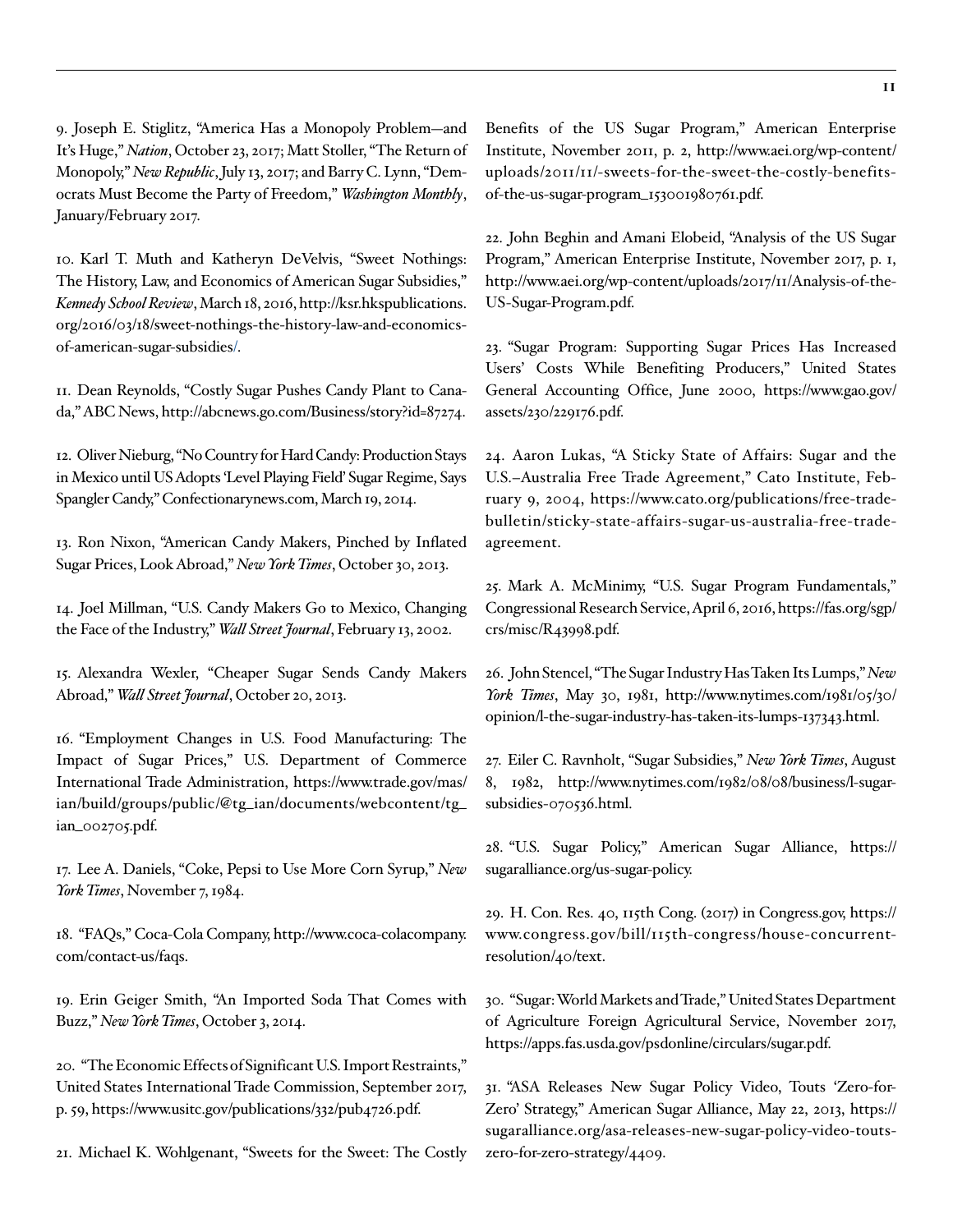<span id="page-10-0"></span>9. Joseph E. Stiglitz, "America Has a Monopoly Problem—and It's Huge," *Nation*, October 23, 2017; Matt Stoller, "The Return of Monopoly," *New Republic*, July 13, 2017; and Barry C. Lynn, "Democrats Must Become the Party of Freedom," *Washington Monthly*, January/February 2017.

<span id="page-10-1"></span>10. Karl T. Muth and Katheryn DeVelvis, "Sweet Nothings: The History, Law, and Economics of American Sugar Subsidies," *Kennedy School Review*, March 18, 2016, [http://ksr.hkspublications.](http://ksr.hkspublications.org/2016/03/18/sweet-nothings-the-history-law-and-economics-of-american-sugar-subsidies/) [org/2016/03/18/sweet-nothings-the-history-law-and-economics](http://ksr.hkspublications.org/2016/03/18/sweet-nothings-the-history-law-and-economics-of-american-sugar-subsidies/)[of-american-sugar-subsidies/.](http://ksr.hkspublications.org/2016/03/18/sweet-nothings-the-history-law-and-economics-of-american-sugar-subsidies/)

<span id="page-10-2"></span>11. Dean Reynolds, "Costly Sugar Pushes Candy Plant to Canada," ABC News, [http://abcnews.go.com/Business/story?id=87274.](http://abcnews.go.com/Business/story?id=87274)

<span id="page-10-3"></span>12. Oliver Nieburg, "No Country for Hard Candy: Production Stays in Mexico until US Adopts 'Level Playing Field' Sugar Regime, Says Spangler Candy," Confectionarynews.com, March 19, 2014.

<span id="page-10-4"></span>13. Ron Nixon, "American Candy Makers, Pinched by Inflated Sugar Prices, Look Abroad," *New York Times*, October 30, 2013.

<span id="page-10-5"></span>14. Joel Millman, "U.S. Candy Makers Go to Mexico, Changing the Face of the Industry," *Wall Street Journal*, February 13, 2002.

<span id="page-10-6"></span>15. Alexandra Wexler, "Cheaper Sugar Sends Candy Makers Abroad," *Wall Street Journal*, October 20, 2013.

<span id="page-10-7"></span>16. "Employment Changes in U.S. Food Manufacturing: The Impact of Sugar Prices," U.S. Department of Commerce International Trade Administration, [https://www.trade.gov/mas/](https://www.trade.gov/mas/ian/build/groups/public/@tg_ian/documents/webcontent/tg_ian_002705.pdf) [ian/build/groups/public/@tg\\_ian/documents/webcontent/tg\\_](https://www.trade.gov/mas/ian/build/groups/public/@tg_ian/documents/webcontent/tg_ian_002705.pdf) [ian\\_002705.pdf.](https://www.trade.gov/mas/ian/build/groups/public/@tg_ian/documents/webcontent/tg_ian_002705.pdf)

<span id="page-10-8"></span>17. Lee A. Daniels, "Coke, Pepsi to Use More Corn Syrup," *New York Times*, November 7, 1984.

<span id="page-10-9"></span>18. "FAQs," Coca-Cola Company, [http://www.coca-colacompany.](http://www.coca-colacompany.com/contact-us/faqs) [com/contact-us/faqs.](http://www.coca-colacompany.com/contact-us/faqs)

<span id="page-10-10"></span>19. Erin Geiger Smith, "An Imported Soda That Comes with Buzz," *New York Times*, October 3, 2014.

<span id="page-10-11"></span>20. "The Economic Effects of Significant U.S. Import Restraints," United States International Trade Commission, September 2017, p. 59, <https://www.usitc.gov/publications/332/pub4726.pdf>.

<span id="page-10-12"></span>21. Michael K. Wohlgenant, "Sweets for the Sweet: The Costly

Benefits of the US Sugar Program," American Enterprise Institute, November 2011, p. 2, [http://www.aei.org/wp-content/](http://www.aei.org/wp-content/uploads/2011/11/-sweets-for-the-sweet-the-costly-benefits-of-the-us-sugar-program_153001980761.pdf) [uploads/2011/11/-sweets-for-the-sweet-the-costly-benefits](http://www.aei.org/wp-content/uploads/2011/11/-sweets-for-the-sweet-the-costly-benefits-of-the-us-sugar-program_153001980761.pdf)[of-the-us-sugar-program\\_153001980761.pdf](http://www.aei.org/wp-content/uploads/2011/11/-sweets-for-the-sweet-the-costly-benefits-of-the-us-sugar-program_153001980761.pdf).

<span id="page-10-13"></span>22. John Beghin and Amani Elobeid, "Analysis of the US Sugar Program," American Enterprise Institute, November 2017, p. 1, [http://www.aei.org/wp-content/uploads/2017/11/Analysis-of-the-](http://www.aei.org/wp-content/uploads/2017/11/Analysis-of-the-US-Sugar-Program.pdf)[US-Sugar-Program.pdf](http://www.aei.org/wp-content/uploads/2017/11/Analysis-of-the-US-Sugar-Program.pdf).

<span id="page-10-14"></span>23. "Sugar Program: Supporting Sugar Prices Has Increased Users' Costs While Benefiting Producers," United States General Accounting Office, June 2000, https://www.gao.gov/ assets/230/229176.pdf.

<span id="page-10-15"></span>24. Aaron Lukas, "A Sticky State of Affairs: Sugar and the U.S.–Australia Free Trade Agreement," Cato Institute, February 9, 2004, [https://www.cato.org/publications/free-trade](https://www.cato.org/publications/free-trade-bulletin/sticky-state-affairs-sugar-us-australia-free-trade-agreement)[bulletin/sticky-state-affairs-sugar-us-australia-free-trade](https://www.cato.org/publications/free-trade-bulletin/sticky-state-affairs-sugar-us-australia-free-trade-agreement)[agreement](https://www.cato.org/publications/free-trade-bulletin/sticky-state-affairs-sugar-us-australia-free-trade-agreement).

<span id="page-10-16"></span>25. Mark A. McMinimy, "U.S. Sugar Program Fundamentals," Congressional Research Service, April 6, 2016, [https://fas.org/sgp/](https://fas.org/sgp/crs/misc/R43998.pdf) [crs/misc/R43998.pdf.](https://fas.org/sgp/crs/misc/R43998.pdf)

<span id="page-10-17"></span>26. John Stencel, "The Sugar Industry Has Taken Its Lumps," *New York Times*, May 30, 1981, [http://www.nytimes.com/1981/05/30/](http://www.nytimes.com/1981/05/30/opinion/l-the-sugar-industry-has-taken-its-lumps-137343.html) [opinion/l-the-sugar-industry-has-taken-its-lumps-137343.html.](http://www.nytimes.com/1981/05/30/opinion/l-the-sugar-industry-has-taken-its-lumps-137343.html)

<span id="page-10-18"></span>27. Eiler C. Ravnholt, "Sugar Subsidies," *New York Times*, August 8, 1982, [http://www.nytimes.com/1982/08/08/business/l-sugar](http://www.nytimes.com/1982/08/08/business/l-sugar-subsidies-070536.html)[subsidies-070536.html](http://www.nytimes.com/1982/08/08/business/l-sugar-subsidies-070536.html).

<span id="page-10-19"></span>28. "U.S. Sugar Policy," American Sugar Alliance, [https://](https://sugaralliance.org/us-sugar-policy) [sugaralliance.org/us-sugar-policy.](https://sugaralliance.org/us-sugar-policy)

<span id="page-10-20"></span>29. H. Con. Res. 40, 115th Cong. (2017) in Congress.gov, [https://](https://www.congress.gov/bill/115th-congress/house-concurrent-resolution/40/text) [www.congress.gov/bill/115th-congress/house-concurrent](https://www.congress.gov/bill/115th-congress/house-concurrent-resolution/40/text)[resolution/40/text.](https://www.congress.gov/bill/115th-congress/house-concurrent-resolution/40/text)

<span id="page-10-21"></span>30. "Sugar: World Markets and Trade," United States Department of Agriculture Foreign Agricultural Service, November 2017, [https://apps.fas.usda.gov/psdonline/circulars/sugar.pdf.](https://apps.fas.usda.gov/psdonline/circulars/sugar.pdf)

<span id="page-10-22"></span>31. "ASA Releases New Sugar Policy Video, Touts 'Zero-for-Zero' Strategy," American Sugar Alliance, May 22, 2013, [https://](https://sugaralliance.org/asa-releases-new-sugar-policy-video-touts-zero-for-zero-strategy/4409) [sugaralliance.org/asa-releases-new-sugar-policy-video-touts](https://sugaralliance.org/asa-releases-new-sugar-policy-video-touts-zero-for-zero-strategy/4409)[zero-for-zero-strategy/4409.](https://sugaralliance.org/asa-releases-new-sugar-policy-video-touts-zero-for-zero-strategy/4409)